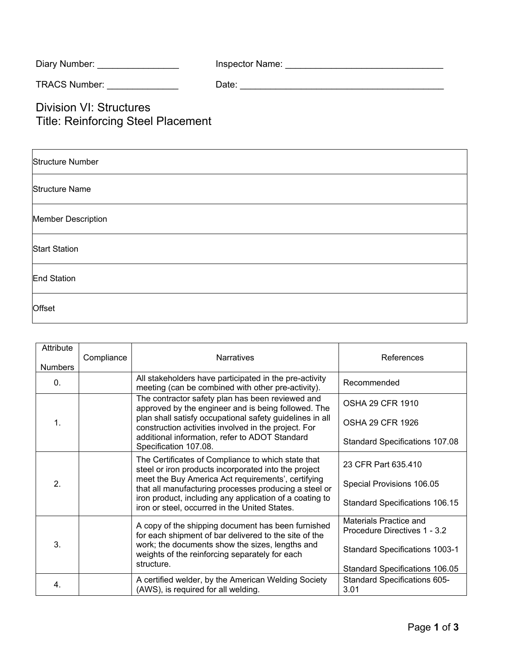| Diary Number:                                                        | Inspector Name: |
|----------------------------------------------------------------------|-----------------|
| TRACS Number: TRACS Number:                                          | Date:           |
| Division VI: Structures<br><b>Title: Reinforcing Steel Placement</b> |                 |

| <b>Structure Number</b>   |  |
|---------------------------|--|
| <b>Structure Name</b>     |  |
| <b>Member Description</b> |  |
| <b>Start Station</b>      |  |
| End Station               |  |
| <b>Offset</b>             |  |

| Attribute<br><b>Numbers</b> | Compliance                                                                                                                                                                                                                                                                   | <b>Narratives</b>                                                                                                                                                                                                           | References                                             |
|-----------------------------|------------------------------------------------------------------------------------------------------------------------------------------------------------------------------------------------------------------------------------------------------------------------------|-----------------------------------------------------------------------------------------------------------------------------------------------------------------------------------------------------------------------------|--------------------------------------------------------|
| $\mathbf{0}$ .              |                                                                                                                                                                                                                                                                              | All stakeholders have participated in the pre-activity<br>meeting (can be combined with other pre-activity).                                                                                                                | Recommended                                            |
| $\mathbf{1}$ .              |                                                                                                                                                                                                                                                                              | The contractor safety plan has been reviewed and<br>approved by the engineer and is being followed. The<br>plan shall satisfy occupational safety guidelines in all<br>construction activities involved in the project. For | <b>OSHA 29 CFR 1910</b>                                |
|                             |                                                                                                                                                                                                                                                                              |                                                                                                                                                                                                                             | <b>OSHA 29 CFR 1926</b>                                |
|                             |                                                                                                                                                                                                                                                                              | additional information, refer to ADOT Standard<br>Specification 107.08.                                                                                                                                                     | <b>Standard Specifications 107.08</b>                  |
| 2.                          | The Certificates of Compliance to which state that<br>steel or iron products incorporated into the project<br>meet the Buy America Act requirements', certifying<br>iron product, including any application of a coating to<br>iron or steel, occurred in the United States. | that all manufacturing processes producing a steel or                                                                                                                                                                       | 23 CFR Part 635.410                                    |
|                             |                                                                                                                                                                                                                                                                              |                                                                                                                                                                                                                             | Special Provisions 106.05                              |
|                             |                                                                                                                                                                                                                                                                              | <b>Standard Specifications 106.15</b>                                                                                                                                                                                       |                                                        |
| 3 <sub>1</sub>              | structure.                                                                                                                                                                                                                                                                   | A copy of the shipping document has been furnished<br>for each shipment of bar delivered to the site of the                                                                                                                 | Materials Practice and<br>Procedure Directives 1 - 3.2 |
|                             |                                                                                                                                                                                                                                                                              | work; the documents show the sizes, lengths and<br>weights of the reinforcing separately for each                                                                                                                           | <b>Standard Specifications 1003-1</b>                  |
|                             |                                                                                                                                                                                                                                                                              |                                                                                                                                                                                                                             | Standard Specifications 106.05                         |
| 4.                          |                                                                                                                                                                                                                                                                              | A certified welder, by the American Welding Society<br>(AWS), is required for all welding.                                                                                                                                  | Standard Specifications 605-<br>3.01                   |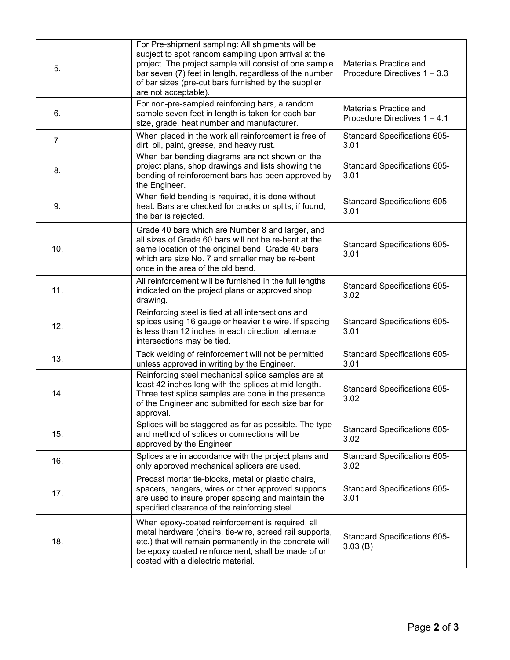| 5.  | For Pre-shipment sampling: All shipments will be<br>subject to spot random sampling upon arrival at the<br>project. The project sample will consist of one sample<br>bar seven (7) feet in length, regardless of the number<br>of bar sizes (pre-cut bars furnished by the supplier<br>are not acceptable). | Materials Practice and<br>Procedure Directives 1 - 3.3        |
|-----|-------------------------------------------------------------------------------------------------------------------------------------------------------------------------------------------------------------------------------------------------------------------------------------------------------------|---------------------------------------------------------------|
| 6.  | For non-pre-sampled reinforcing bars, a random<br>sample seven feet in length is taken for each bar<br>size, grade, heat number and manufacturer.                                                                                                                                                           | <b>Materials Practice and</b><br>Procedure Directives 1 - 4.1 |
| 7.  | When placed in the work all reinforcement is free of<br>dirt, oil, paint, grease, and heavy rust.                                                                                                                                                                                                           | Standard Specifications 605-<br>3.01                          |
| 8.  | When bar bending diagrams are not shown on the<br>project plans, shop drawings and lists showing the<br>bending of reinforcement bars has been approved by<br>the Engineer.                                                                                                                                 | Standard Specifications 605-<br>3.01                          |
| 9.  | When field bending is required, it is done without<br>heat. Bars are checked for cracks or splits; if found,<br>the bar is rejected.                                                                                                                                                                        | Standard Specifications 605-<br>3.01                          |
| 10. | Grade 40 bars which are Number 8 and larger, and<br>all sizes of Grade 60 bars will not be re-bent at the<br>same location of the original bend. Grade 40 bars<br>which are size No. 7 and smaller may be re-bent<br>once in the area of the old bend.                                                      | Standard Specifications 605-<br>3.01                          |
| 11. | All reinforcement will be furnished in the full lengths<br>indicated on the project plans or approved shop<br>drawing.                                                                                                                                                                                      | Standard Specifications 605-<br>3.02                          |
| 12. | Reinforcing steel is tied at all intersections and<br>splices using 16 gauge or heavier tie wire. If spacing<br>is less than 12 inches in each direction, alternate<br>intersections may be tied.                                                                                                           | Standard Specifications 605-<br>3.01                          |
| 13. | Tack welding of reinforcement will not be permitted<br>unless approved in writing by the Engineer.                                                                                                                                                                                                          | Standard Specifications 605-<br>3.01                          |
| 14. | Reinforcing steel mechanical splice samples are at<br>least 42 inches long with the splices at mid length.<br>Three test splice samples are done in the presence<br>of the Engineer and submitted for each size bar for<br>approval.                                                                        | Standard Specifications 605-<br>3.02                          |
| 15. | Splices will be staggered as far as possible. The type<br>and method of splices or connections will be<br>approved by the Engineer                                                                                                                                                                          | Standard Specifications 605-<br>3.02                          |
| 16. | Splices are in accordance with the project plans and<br>only approved mechanical splicers are used.                                                                                                                                                                                                         | Standard Specifications 605-<br>3.02                          |
| 17. | Precast mortar tie-blocks, metal or plastic chairs,<br>spacers, hangers, wires or other approved supports<br>are used to insure proper spacing and maintain the<br>specified clearance of the reinforcing steel.                                                                                            | Standard Specifications 605-<br>3.01                          |
| 18. | When epoxy-coated reinforcement is required, all<br>metal hardware (chairs, tie-wire, screed rail supports,<br>etc.) that will remain permanently in the concrete will<br>be epoxy coated reinforcement; shall be made of or<br>coated with a dielectric material.                                          | <b>Standard Specifications 605-</b><br>3.03(B)                |